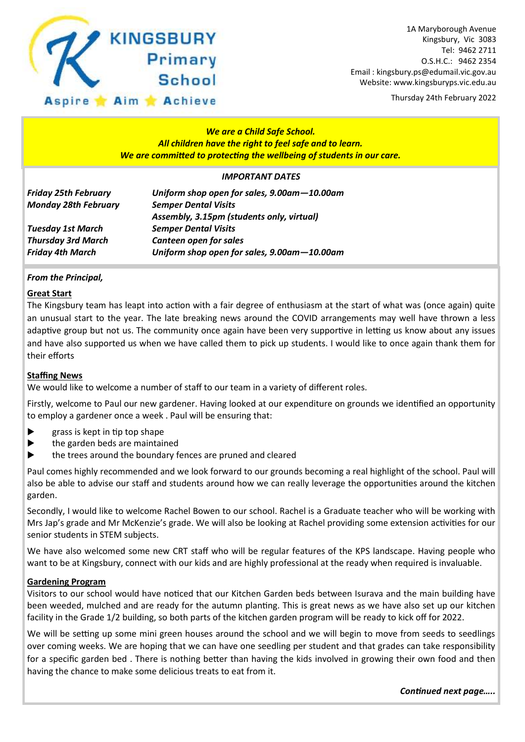

Thursday 24th February 2022

# *We are a Child Safe School. All children have the right to feel safe and to learn. We are committed to protecting the wellbeing of students in our care.*

### *IMPORTANT DATES*

| <b>Friday 25th February</b> | Uniform shop open for sales, 9.00am-10.00am |  |  |
|-----------------------------|---------------------------------------------|--|--|
| <b>Monday 28th February</b> | <b>Semper Dental Visits</b>                 |  |  |
|                             | Assembly, 3.15pm (students only, virtual)   |  |  |
| <b>Tuesday 1st March</b>    | <b>Semper Dental Visits</b>                 |  |  |
| <b>Thursday 3rd March</b>   | <b>Canteen open for sales</b>               |  |  |
| <b>Friday 4th March</b>     | Uniform shop open for sales, 9.00am-10.00am |  |  |

# *From the Principal,*

### **Great Start**

The Kingsbury team has leapt into action with a fair degree of enthusiasm at the start of what was (once again) quite an unusual start to the year. The late breaking news around the COVID arrangements may well have thrown a less adaptive group but not us. The community once again have been very supportive in letting us know about any issues and have also supported us when we have called them to pick up students. I would like to once again thank them for their efforts

### **Staffing News**

We would like to welcome a number of staff to our team in a variety of different roles.

Firstly, welcome to Paul our new gardener. Having looked at our expenditure on grounds we identified an opportunity to employ a gardener once a week . Paul will be ensuring that:

- $\blacktriangleright$  grass is kept in tip top shape
- $\blacktriangleright$  the garden beds are maintained
- the trees around the boundary fences are pruned and cleared

Paul comes highly recommended and we look forward to our grounds becoming a real highlight of the school. Paul will also be able to advise our staff and students around how we can really leverage the opportunities around the kitchen garden.

Secondly, I would like to welcome Rachel Bowen to our school. Rachel is a Graduate teacher who will be working with Mrs Jap's grade and Mr McKenzie's grade. We will also be looking at Rachel providing some extension activities for our senior students in STEM subjects.

We have also welcomed some new CRT staff who will be regular features of the KPS landscape. Having people who want to be at Kingsbury, connect with our kids and are highly professional at the ready when required is invaluable.

### **Gardening Program**

Visitors to our school would have noticed that our Kitchen Garden beds between Isurava and the main building have been weeded, mulched and are ready for the autumn planting. This is great news as we have also set up our kitchen facility in the Grade 1/2 building, so both parts of the kitchen garden program will be ready to kick off for 2022.

We will be setting up some mini green houses around the school and we will begin to move from seeds to seedlings over coming weeks. We are hoping that we can have one seedling per student and that grades can take responsibility for a specific garden bed . There is nothing better than having the kids involved in growing their own food and then having the chance to make some delicious treats to eat from it.

*Continued next page…..*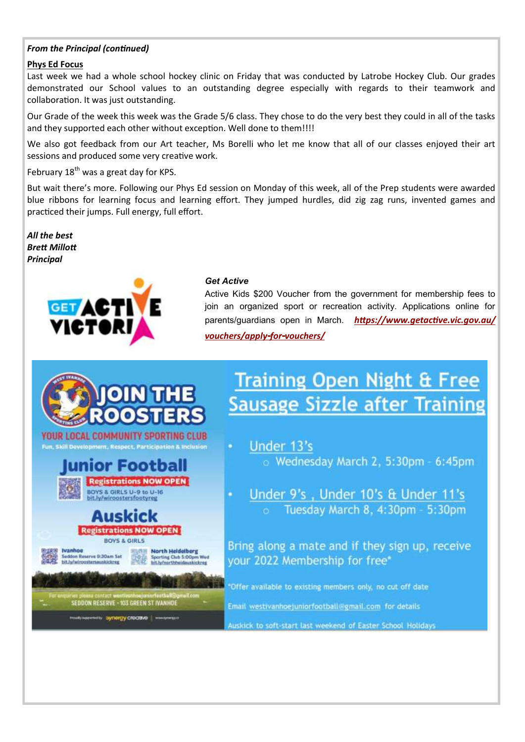# *From the Principal (continued)*

### **Phys Ed Focus**

Last week we had a whole school hockey clinic on Friday that was conducted by Latrobe Hockey Club. Our grades demonstrated our School values to an outstanding degree especially with regards to their teamwork and collaboration. It was just outstanding.

Our Grade of the week this week was the Grade 5/6 class. They chose to do the very best they could in all of the tasks and they supported each other without exception. Well done to them!!!!

We also got feedback from our Art teacher, Ms Borelli who let me know that all of our classes enjoyed their art sessions and produced some very creative work.

February  $18^{th}$  was a great day for KPS.

But wait there's more. Following our Phys Ed session on Monday of this week, all of the Prep students were awarded blue ribbons for learning focus and learning effort. They jumped hurdles, did zig zag runs, invented games and practiced their jumps. Full energy, full effort.

*All the best Brett Millott Principal*



#### *Get Active*

Active Kids \$200 Voucher from the government for membership fees to join an organized sport or recreation activity. Applications online for parents/guardians open in March. *[https://www.getactive.vic.gov.au/](https://www.getactive.vic.gov.au/vouchers/apply-for-vouchers/) [vouchers/apply-for-vouchers/](https://www.getactive.vic.gov.au/vouchers/apply-for-vouchers/)*

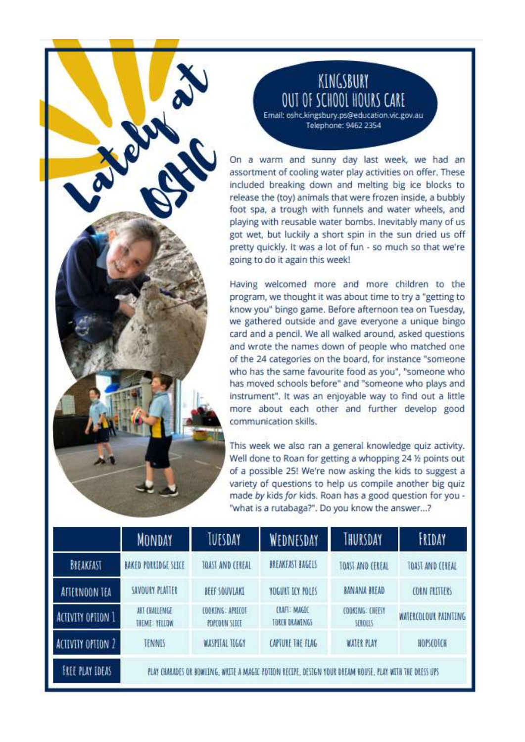# KINGSBURY OUT OF SCHOOL HOURS CARE

Email: oshc.kingsbury.ps@education.vic.gov.au Telephone: 9462 2354

On a warm and sunny day last week, we had an assortment of cooling water play activities on offer. These included breaking down and melting big ice blocks to release the (toy) animals that were frozen inside, a bubbly foot spa, a trough with funnels and water wheels, and playing with reusable water bombs. Inevitably many of us got wet, but luckily a short spin in the sun dried us off pretty quickly. It was a lot of fun - so much so that we're going to do it again this week!

Having welcomed more and more children to the program, we thought it was about time to try a "getting to know you" bingo game. Before afternoon tea on Tuesday, we gathered outside and gave everyone a unique bingo card and a pencil. We all walked around, asked questions and wrote the names down of people who matched one of the 24 categories on the board, for instance "someone who has the same favourite food as you", "someone who has moved schools before" and "someone who plays and instrument". It was an enjoyable way to find out a little more about each other and further develop good communication skills.

This week we also ran a general knowledge quiz activity. Well done to Roan for getting a whopping 24 1/2 points out of a possible 25! We're now asking the kids to suggest a variety of questions to help us compile another big quiz made by kids for kids. Roan has a good question for you -"what is a rutabaga?". Do you know the answer...?

|                        | MONDAY                                                                                                  | TUESDAY                                  | WEDNESDAY                            | THURSDAY                          | FRIDAY               |  |
|------------------------|---------------------------------------------------------------------------------------------------------|------------------------------------------|--------------------------------------|-----------------------------------|----------------------|--|
| BREAKFAST              | BAKED PORRIDGE SLICE                                                                                    | TOAST AND CEREAL                         | BREAKEAST BAGELS                     | <b>TOAST AND CEREAL</b>           | TOAST AND CEREAL     |  |
| AFTERNOON TEA          | SAVOURY PLATTER                                                                                         | <b>BEEF SOUVLAKI</b>                     | YOGUKT ICY POLES                     | <b>BANANA BREAD</b>               | <b>CORN FRITTERS</b> |  |
| ACTIVITY OPTION 1      | ART EHALLENGE<br><b>THEME: YELLOW</b>                                                                   | <b>EDDKING: APRICOT</b><br>POPEORN SLICE | <b>CAFT: MAGIC</b><br>TBRCH DRAWENGS | COOKING: CHEEST<br><b>SCROLLS</b> | WATERCOLOUR PAINTING |  |
| ACIIVITY OPTION 2      | TENNIS                                                                                                  | <b>WASPITAL TIGGY</b>                    | CAPTURE THE FLAG                     | <b>WATER PLAY</b>                 | HOPSCOTCH            |  |
| <b>FREE PLAY IDEAS</b> | PEAY CHARADES OR BOWLING, WRITE A MAGIC POTION RECIPE, DESIGN YOUR DREAM HOUSE, PLAY WITH THE DIESS UPS |                                          |                                      |                                   |                      |  |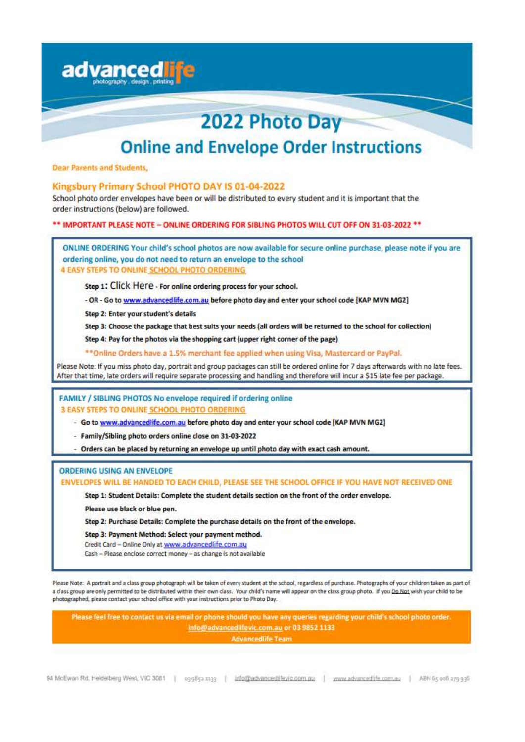

#### ORDERING USING AN ENVELOPE

ENVELOPES WILL BE HANDED TO EACH CHILD, PLEASE SEE THE SCHOOL OFFICE IF YOU HAVE NOT RECEIVED ONE

Step 1: Student Details: Complete the student details section on the front of the order envelope.

Please use black or blue pen.

Step 2: Purchase Details: Complete the purchase details on the front of the envelope.

Step 3: Payment Method: Select your payment method.

Credit Card - Online Only at www.advancedlife.com.au

Cash - Please enclose correct money - as change is not available

Please Note: A portrait and a class group photograph will be taken of every student at the school, regardless of purchase. Photographs of your children taken as part of a class group are only permitted to be distributed within their own class. Your child's name will appear on the class group photo. If you Do Not wish your child to be photographed, please contact your school office with your instructions prior to Photo Day.

Please feel free to contact us via email or phone should you have any queries regarding your child's school photo order. info@advancedlifevic.com.au or 03 9852 1133

**Advancediife Team**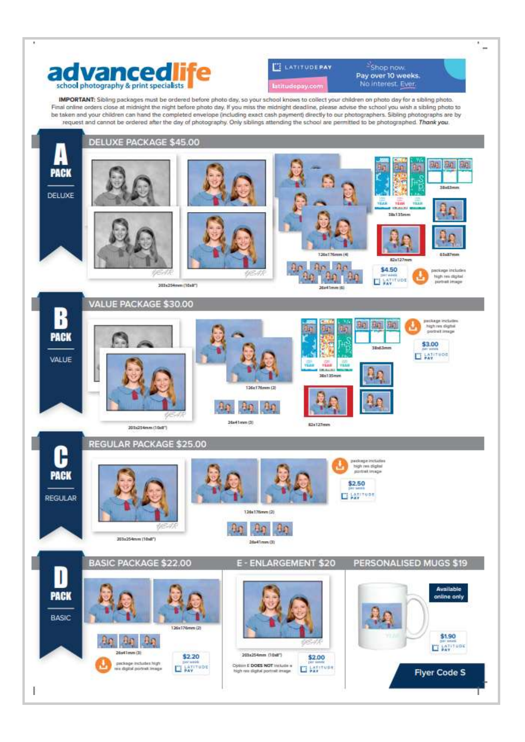

i,



Shop now, Pay over 10 weeks. No interest. Ever.

IMPORTANT: Sibling packages must be ordered before photo day, so your school knows to collect your children on photo day for a sibling photo. Final online orders close at midnight the night before photo day. If you miss the midnight deadline, please advise the school you wish a sibling photo to be taken and your children can hand the completed envelope (including exact cash payment) directly to our photographers. Sibling photographs are by request and cannot be ordered after the day of photography. Only siblings attending the school are permitted to be photographed. Thank you.